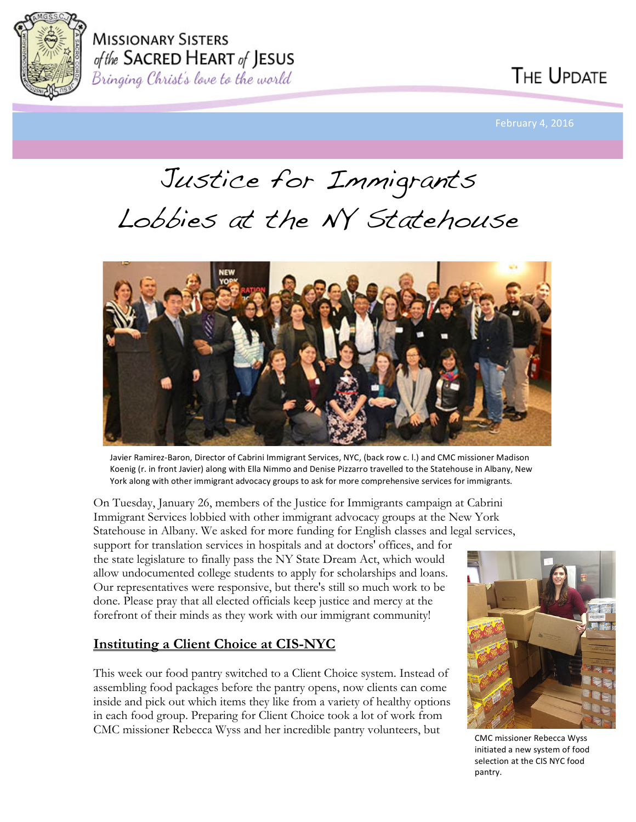

**MISSIONARY SISTERS** of the SACRED HEART of JESUS Bringing Christ's love to the world

Justice for Immigrants Lobbies at the NY Statehouse



Javier Ramirez-Baron, Director of Cabrini Immigrant Services, NYC, (back row c. l.) and CMC missioner Madison Koenig (r. in front Javier) along with Ella Nimmo and Denise Pizzarro travelled to the Statehouse in Albany, New York along with other immigrant advocacy groups to ask for more comprehensive services for immigrants.

On Tuesday, January 26, members of the Justice for Immigrants campaign at Cabrini Immigrant Services lobbied with other immigrant advocacy groups at the New York Statehouse in Albany. We asked for more funding for English classes and legal services,

support for translation services in hospitals and at doctors' offices, and for the state legislature to finally pass the NY State Dream Act, which would allow undocumented college students to apply for scholarships and loans. Our representatives were responsive, but there's still so much work to be done. Please pray that all elected officials keep justice and mercy at the forefront of their minds as they work with our immigrant community!

#### **Instituting a Client Choice at CIS-NYC**

This week our food pantry switched to a Client Choice system. Instead of assembling food packages before the pantry opens, now clients can come inside and pick out which items they like from a variety of healthy options in each food group. Preparing for Client Choice took a lot of work from CMC missioner Rebecca Wyss and her incredible pantry volunteers, but



CMC missioner Rebecca Wyss initiated a new system of food selection at the CIS NYC food pantry.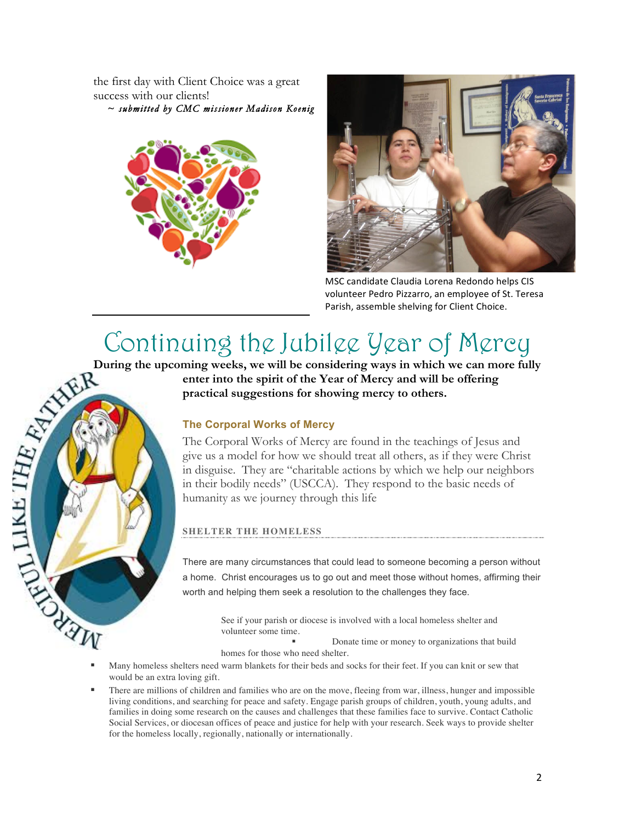the first day with Client Choice was a great success with our clients!  *~ submitted by CMC missioner Madison Koenig* 





MSC candidate Claudia Lorena Redondo helps CIS volunteer Pedro Pizzarro, an employee of St. Teresa Parish, assemble shelving for Client Choice.

# Continuing the Jubilee Year of Mercy

**enter into the spirit of the Year of Mercy and will be offering practical suggestions for showing mercy to others.** 

#### **The Corporal Works of Mercy**

The Corporal Works of Mercy are found in the teachings of Jesus and give us a model for how we should treat all others, as if they were Christ in disguise. They are "charitable actions by which we help our neighbors in their bodily needs" (USCCA). They respond to the basic needs of humanity as we journey through this life

#### **SHELTER THE HOMELESS**

There are many circumstances that could lead to someone becoming a person without a home. Christ encourages us to go out and meet those without homes, affirming their worth and helping them seek a resolution to the challenges they face.

> See if your parish or diocese is involved with a local homeless shelter and volunteer some time.

§ Donate time or money to organizations that build

homes for those who need shelter.

- Many homeless shelters need warm blankets for their beds and socks for their feet. If you can knit or sew that would be an extra loving gift.
- There are millions of children and families who are on the move, fleeing from war, illness, hunger and impossible living conditions, and searching for peace and safety. Engage parish groups of children, youth, young adults, and families in doing some research on the causes and challenges that these families face to survive. Contact Catholic Social Services, or diocesan offices of peace and justice for help with your research. Seek ways to provide shelter for the homeless locally, regionally, nationally or internationally.

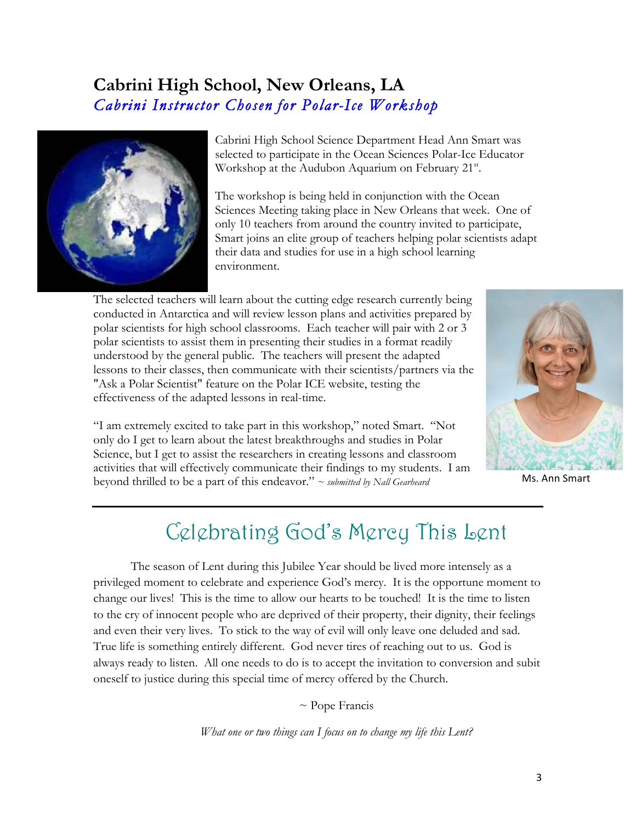### **Cabrini High School, New Orleans, LA** *Cabrini Instructor Chosen for Polar-Ice Workshop*



Cabrini High School Science Department Head Ann Smart was selected to participate in the Ocean Sciences Polar-Ice Educator Workshop at the Audubon Aquarium on February 21<sup>st</sup>.

The workshop is being held in conjunction with the Ocean Sciences Meeting taking place in New Orleans that week. One of only 10 teachers from around the country invited to participate, Smart joins an elite group of teachers helping polar scientists adapt their data and studies for use in a high school learning environment.

The selected teachers will learn about the cutting edge research currently being conducted in Antarctica and will review lesson plans and activities prepared by polar scientists for high school classrooms. Each teacher will pair with 2 or 3 polar scientists to assist them in presenting their studies in a format readily understood by the general public. The teachers will present the adapted lessons to their classes, then communicate with their scientists/partners via the "Ask a Polar Scientist" feature on the Polar ICE website, testing the effectiveness of the adapted lessons in real-time.

"I am extremely excited to take part in this workshop," noted Smart. "Not only do I get to learn about the latest breakthroughs and studies in Polar Science, but I get to assist the researchers in creating lessons and classroom activities that will effectively communicate their findings to my students. I am beyond thrilled to be a part of this endeavor." *~ submitted by Nall Gearheard*



Ms. Ann Smart

### Celebrating God's Mercy This Lent

The season of Lent during this Jubilee Year should be lived more intensely as a privileged moment to celebrate and experience God's mercy. It is the opportune moment to change our lives! This is the time to allow our hearts to be touched! It is the time to listen to the cry of innocent people who are deprived of their property, their dignity, their feelings and even their very lives. To stick to the way of evil will only leave one deluded and sad. True life is something entirely different. God never tires of reaching out to us. God is always ready to listen. All one needs to do is to accept the invitation to conversion and subit oneself to justice during this special time of mercy offered by the Church.

 $\sim$  Pope Francis

*What one or two things can I focus on to change my life this Lent?*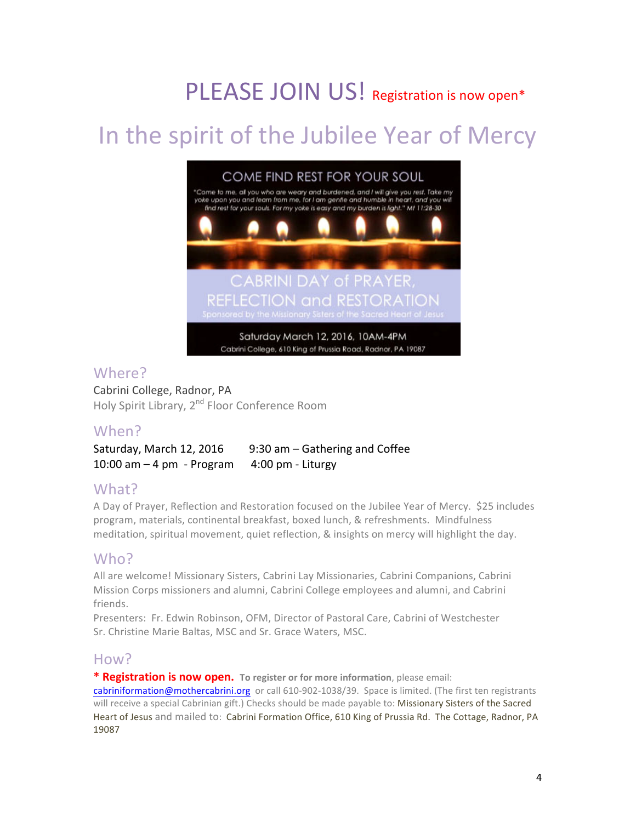# PLEASE JOIN US! Registration is now open\*

# In the spirit of the Jubilee Year of Mercy



### Where?

Cabrini College, Radnor, PA Holy Spirit Library, 2<sup>nd</sup> Floor Conference Room

### When?

Saturday, March 12, 2016  $\qquad$  9:30 am – Gathering and Coffee  $10:00$  am  $-4$  pm  $-$  Program  $4:00$  pm  $-$  Liturgy

### What?

A Day of Prayer, Reflection and Restoration focused on the Jubilee Year of Mercy. \$25 includes program, materials, continental breakfast, boxed lunch, & refreshments. Mindfulness meditation, spiritual movement, quiet reflection, & insights on mercy will highlight the day.

### Who?

All are welcome! Missionary Sisters, Cabrini Lay Missionaries, Cabrini Companions, Cabrini Mission Corps missioners and alumni, Cabrini College employees and alumni, and Cabrini friends.

Presenters: Fr. Edwin Robinson, OFM, Director of Pastoral Care, Cabrini of Westchester Sr. Christine Marie Baltas, MSC and Sr. Grace Waters, MSC.

### How?

\* Registration is now open. To register or for more information, please email: cabriniformation@mothercabrini.org or call 610-902-1038/39. Space is limited. (The first ten registrants will receive a special Cabrinian gift.) Checks should be made payable to: Missionary Sisters of the Sacred Heart of Jesus and mailed to: Cabrini Formation Office, 610 King of Prussia Rd. The Cottage, Radnor, PA 19087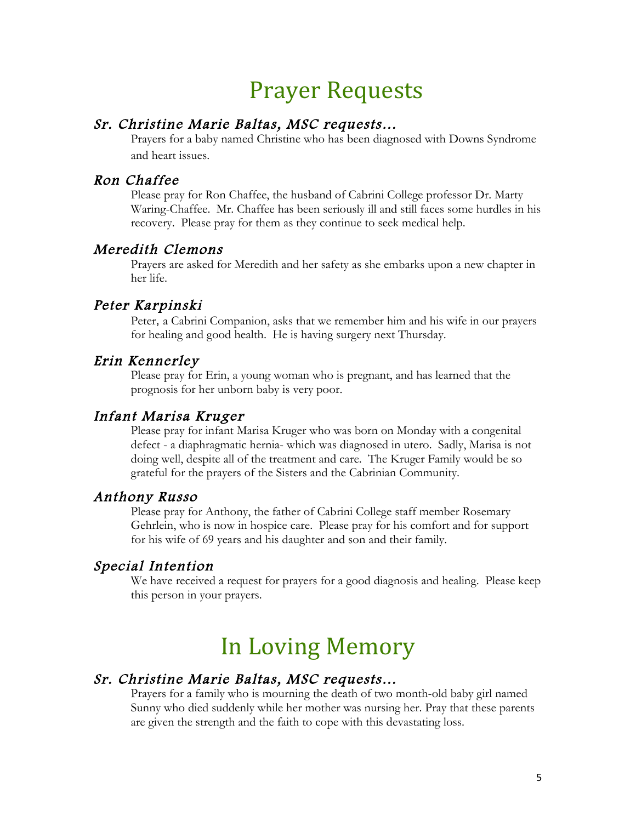### **Prayer Requests**

#### Sr. Christine Marie Baltas, MSC requests…

Prayers for a baby named Christine who has been diagnosed with Downs Syndrome and heart issues.

#### Ron Chaffee

Please pray for Ron Chaffee, the husband of Cabrini College professor Dr. Marty Waring-Chaffee. Mr. Chaffee has been seriously ill and still faces some hurdles in his recovery. Please pray for them as they continue to seek medical help.

#### Meredith Clemons

Prayers are asked for Meredith and her safety as she embarks upon a new chapter in her life.

### Peter Karpinski

Peter, a Cabrini Companion, asks that we remember him and his wife in our prayers for healing and good health. He is having surgery next Thursday.

#### Erin Kennerley

Please pray for Erin, a young woman who is pregnant, and has learned that the prognosis for her unborn baby is very poor.

#### Infant Marisa Kruger

Please pray for infant Marisa Kruger who was born on Monday with a congenital defect - a diaphragmatic hernia- which was diagnosed in utero. Sadly, Marisa is not doing well, despite all of the treatment and care. The Kruger Family would be so grateful for the prayers of the Sisters and the Cabrinian Community.

#### Anthony Russo

Please pray for Anthony, the father of Cabrini College staff member Rosemary Gehrlein, who is now in hospice care. Please pray for his comfort and for support for his wife of 69 years and his daughter and son and their family.

#### Special Intention

We have received a request for prayers for a good diagnosis and healing. Please keep this person in your prayers.

# In Loving Memory

#### Sr. Christine Marie Baltas, MSC requests…

Prayers for a family who is mourning the death of two month-old baby girl named Sunny who died suddenly while her mother was nursing her. Pray that these parents are given the strength and the faith to cope with this devastating loss.